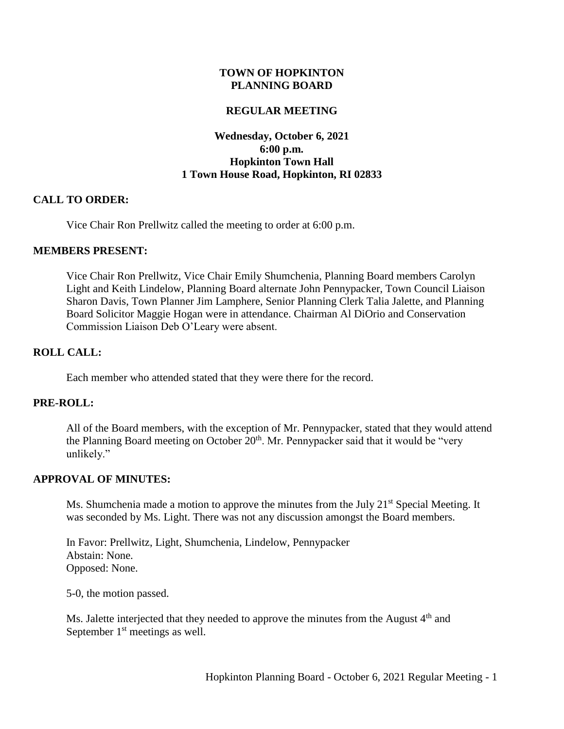### **TOWN OF HOPKINTON PLANNING BOARD**

### **REGULAR MEETING**

# **Wednesday, October 6, 2021 6:00 p.m. Hopkinton Town Hall 1 Town House Road, Hopkinton, RI 02833**

#### **CALL TO ORDER:**

Vice Chair Ron Prellwitz called the meeting to order at 6:00 p.m.

#### **MEMBERS PRESENT:**

Vice Chair Ron Prellwitz, Vice Chair Emily Shumchenia, Planning Board members Carolyn Light and Keith Lindelow, Planning Board alternate John Pennypacker, Town Council Liaison Sharon Davis, Town Planner Jim Lamphere, Senior Planning Clerk Talia Jalette, and Planning Board Solicitor Maggie Hogan were in attendance. Chairman Al DiOrio and Conservation Commission Liaison Deb O'Leary were absent.

### **ROLL CALL:**

Each member who attended stated that they were there for the record.

#### **PRE-ROLL:**

All of the Board members, with the exception of Mr. Pennypacker, stated that they would attend the Planning Board meeting on October  $20<sup>th</sup>$ . Mr. Pennypacker said that it would be "very unlikely."

#### **APPROVAL OF MINUTES:**

Ms. Shumchenia made a motion to approve the minutes from the July  $21<sup>st</sup>$  Special Meeting. It was seconded by Ms. Light. There was not any discussion amongst the Board members.

In Favor: Prellwitz, Light, Shumchenia, Lindelow, Pennypacker Abstain: None. Opposed: None.

5-0, the motion passed.

Ms. Jalette interjected that they needed to approve the minutes from the August 4<sup>th</sup> and September  $1<sup>st</sup>$  meetings as well.

Hopkinton Planning Board - October 6, 2021 Regular Meeting - 1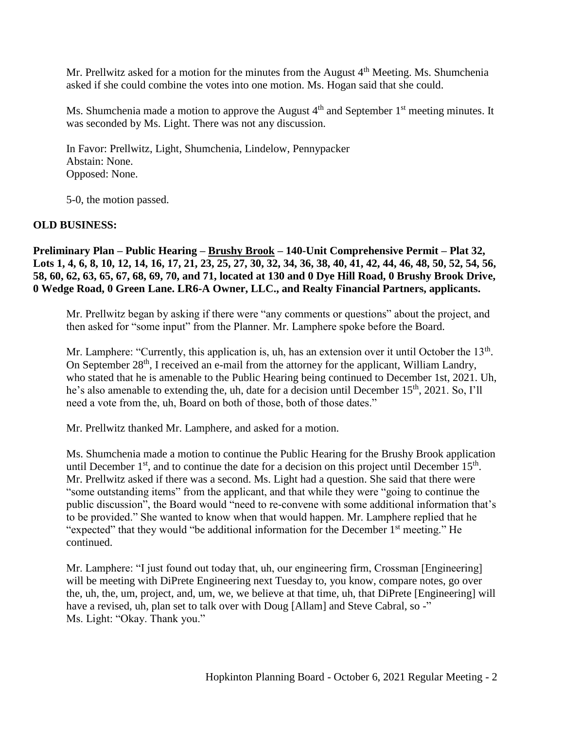Mr. Prellwitz asked for a motion for the minutes from the August  $4<sup>th</sup>$  Meeting. Ms. Shumchenia asked if she could combine the votes into one motion. Ms. Hogan said that she could.

Ms. Shumchenia made a motion to approve the August 4<sup>th</sup> and September 1<sup>st</sup> meeting minutes. It was seconded by Ms. Light. There was not any discussion.

In Favor: Prellwitz, Light, Shumchenia, Lindelow, Pennypacker Abstain: None. Opposed: None.

5-0, the motion passed.

# **OLD BUSINESS:**

**Preliminary Plan – Public Hearing – Brushy Brook – 140-Unit Comprehensive Permit – Plat 32, Lots 1, 4, 6, 8, 10, 12, 14, 16, 17, 21, 23, 25, 27, 30, 32, 34, 36, 38, 40, 41, 42, 44, 46, 48, 50, 52, 54, 56, 58, 60, 62, 63, 65, 67, 68, 69, 70, and 71, located at 130 and 0 Dye Hill Road, 0 Brushy Brook Drive, 0 Wedge Road, 0 Green Lane. LR6-A Owner, LLC., and Realty Financial Partners, applicants.**

Mr. Prellwitz began by asking if there were "any comments or questions" about the project, and then asked for "some input" from the Planner. Mr. Lamphere spoke before the Board.

Mr. Lamphere: "Currently, this application is, uh, has an extension over it until October the  $13<sup>th</sup>$ . On September 28<sup>th</sup>, I received an e-mail from the attorney for the applicant, William Landry, who stated that he is amenable to the Public Hearing being continued to December 1st, 2021. Uh, he's also amenable to extending the, uh, date for a decision until December 15<sup>th</sup>, 2021. So, I'll need a vote from the, uh, Board on both of those, both of those dates."

Mr. Prellwitz thanked Mr. Lamphere, and asked for a motion.

Ms. Shumchenia made a motion to continue the Public Hearing for the Brushy Brook application until December  $1<sup>st</sup>$ , and to continue the date for a decision on this project until December  $15<sup>th</sup>$ . Mr. Prellwitz asked if there was a second. Ms. Light had a question. She said that there were "some outstanding items" from the applicant, and that while they were "going to continue the public discussion", the Board would "need to re-convene with some additional information that's to be provided." She wanted to know when that would happen. Mr. Lamphere replied that he "expected" that they would "be additional information for the December 1st meeting." He continued.

Mr. Lamphere: "I just found out today that, uh, our engineering firm, Crossman [Engineering] will be meeting with DiPrete Engineering next Tuesday to, you know, compare notes, go over the, uh, the, um, project, and, um, we, we believe at that time, uh, that DiPrete [Engineering] will have a revised, uh, plan set to talk over with Doug [Allam] and Steve Cabral, so -" Ms. Light: "Okay. Thank you."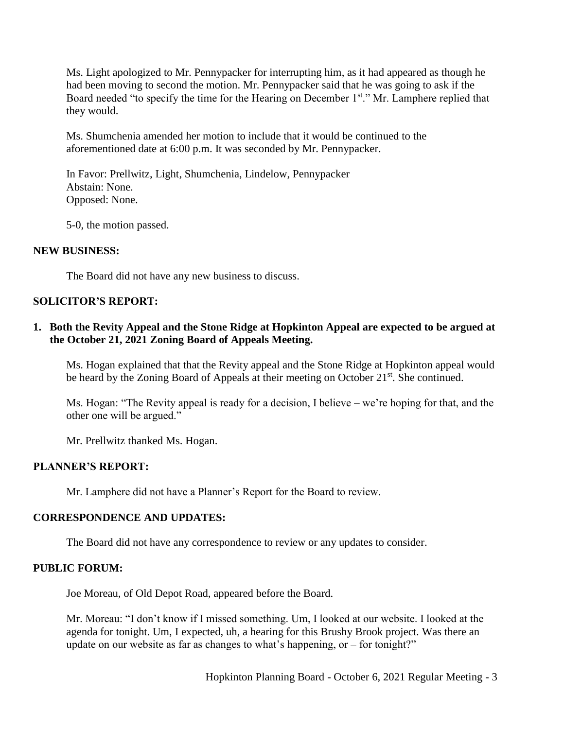Ms. Light apologized to Mr. Pennypacker for interrupting him, as it had appeared as though he had been moving to second the motion. Mr. Pennypacker said that he was going to ask if the Board needed "to specify the time for the Hearing on December 1st." Mr. Lamphere replied that they would.

Ms. Shumchenia amended her motion to include that it would be continued to the aforementioned date at 6:00 p.m. It was seconded by Mr. Pennypacker.

In Favor: Prellwitz, Light, Shumchenia, Lindelow, Pennypacker Abstain: None. Opposed: None.

5-0, the motion passed.

## **NEW BUSINESS:**

The Board did not have any new business to discuss.

## **SOLICITOR'S REPORT:**

# **1. Both the Revity Appeal and the Stone Ridge at Hopkinton Appeal are expected to be argued at the October 21, 2021 Zoning Board of Appeals Meeting.**

Ms. Hogan explained that that the Revity appeal and the Stone Ridge at Hopkinton appeal would be heard by the Zoning Board of Appeals at their meeting on October 21<sup>st</sup>. She continued.

Ms. Hogan: "The Revity appeal is ready for a decision, I believe – we're hoping for that, and the other one will be argued."

Mr. Prellwitz thanked Ms. Hogan.

#### **PLANNER'S REPORT:**

Mr. Lamphere did not have a Planner's Report for the Board to review.

### **CORRESPONDENCE AND UPDATES:**

The Board did not have any correspondence to review or any updates to consider.

### **PUBLIC FORUM:**

Joe Moreau, of Old Depot Road, appeared before the Board.

Mr. Moreau: "I don't know if I missed something. Um, I looked at our website. I looked at the agenda for tonight. Um, I expected, uh, a hearing for this Brushy Brook project. Was there an update on our website as far as changes to what's happening, or – for tonight?"